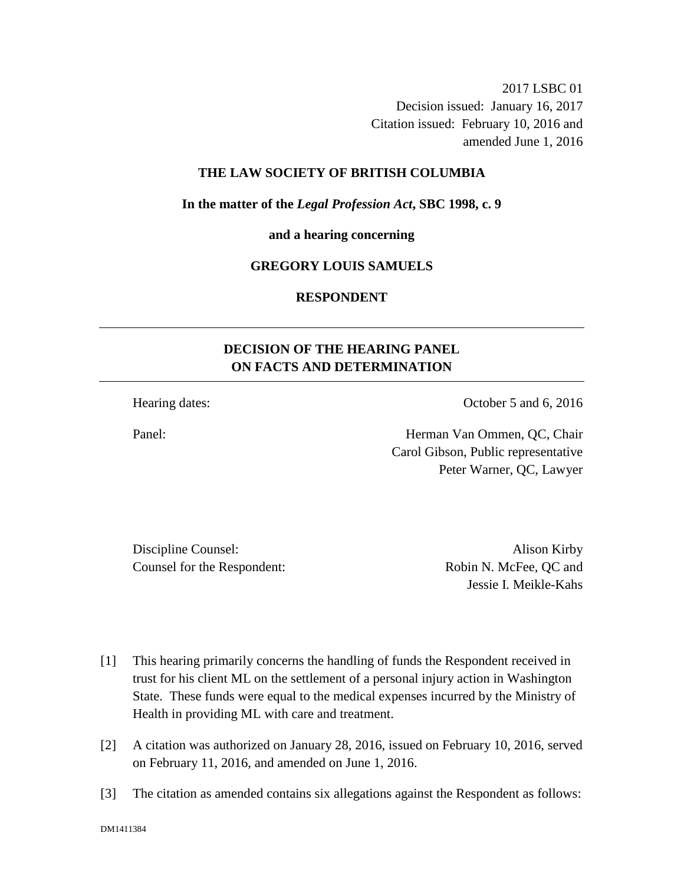2017 LSBC 01 Decision issued: January 16, 2017 Citation issued: February 10, 2016 and amended June 1, 2016

### **THE LAW SOCIETY OF BRITISH COLUMBIA**

**In the matter of the** *Legal Profession Act***, SBC 1998, c. 9** 

**and a hearing concerning**

#### **GREGORY LOUIS SAMUELS**

# **RESPONDENT**

# **DECISION OF THE HEARING PANEL ON FACTS AND DETERMINATION**

Hearing dates: October 5 and 6, 2016

Panel: Herman Van Ommen, QC, Chair Carol Gibson, Public representative Peter Warner, QC, Lawyer

Discipline Counsel: Alison Kirby Counsel for the Respondent: Robin N. McFee, QC and

Jessie I. Meikle-Kahs

- [1] This hearing primarily concerns the handling of funds the Respondent received in trust for his client ML on the settlement of a personal injury action in Washington State. These funds were equal to the medical expenses incurred by the Ministry of Health in providing ML with care and treatment.
- [2] A citation was authorized on January 28, 2016, issued on February 10, 2016, served on February 11, 2016, and amended on June 1, 2016.
- [3] The citation as amended contains six allegations against the Respondent as follows: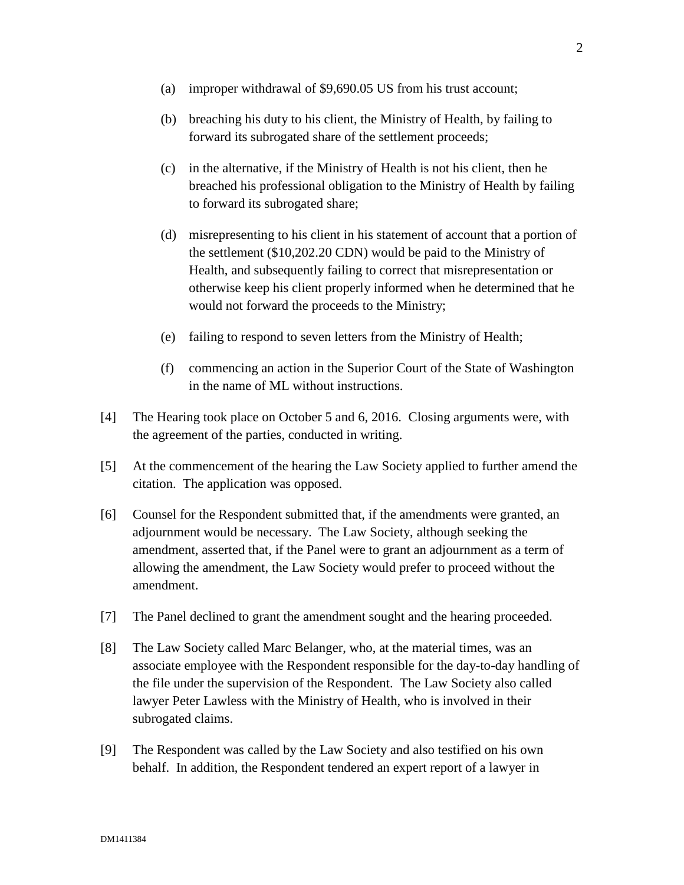- (a) improper withdrawal of \$9,690.05 US from his trust account;
- (b) breaching his duty to his client, the Ministry of Health, by failing to forward its subrogated share of the settlement proceeds;
- (c) in the alternative, if the Ministry of Health is not his client, then he breached his professional obligation to the Ministry of Health by failing to forward its subrogated share;
- (d) misrepresenting to his client in his statement of account that a portion of the settlement (\$10,202.20 CDN) would be paid to the Ministry of Health, and subsequently failing to correct that misrepresentation or otherwise keep his client properly informed when he determined that he would not forward the proceeds to the Ministry;
- (e) failing to respond to seven letters from the Ministry of Health;
- (f) commencing an action in the Superior Court of the State of Washington in the name of ML without instructions.
- [4] The Hearing took place on October 5 and 6, 2016. Closing arguments were, with the agreement of the parties, conducted in writing.
- [5] At the commencement of the hearing the Law Society applied to further amend the citation. The application was opposed.
- [6] Counsel for the Respondent submitted that, if the amendments were granted, an adjournment would be necessary. The Law Society, although seeking the amendment, asserted that, if the Panel were to grant an adjournment as a term of allowing the amendment, the Law Society would prefer to proceed without the amendment.
- [7] The Panel declined to grant the amendment sought and the hearing proceeded.
- [8] The Law Society called Marc Belanger, who, at the material times, was an associate employee with the Respondent responsible for the day-to-day handling of the file under the supervision of the Respondent. The Law Society also called lawyer Peter Lawless with the Ministry of Health, who is involved in their subrogated claims.
- [9] The Respondent was called by the Law Society and also testified on his own behalf. In addition, the Respondent tendered an expert report of a lawyer in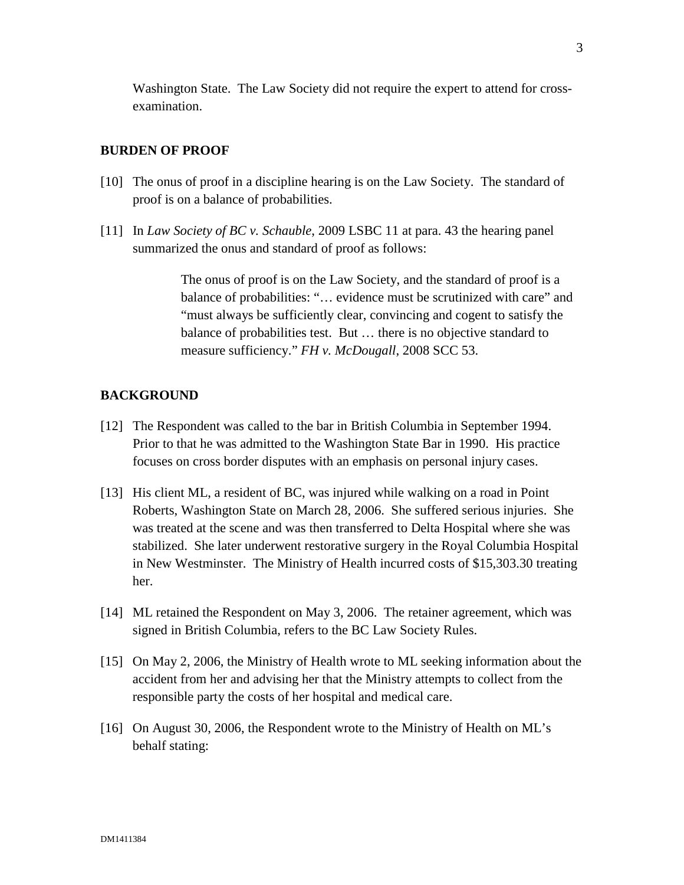Washington State. The Law Society did not require the expert to attend for crossexamination.

#### **BURDEN OF PROOF**

- [10] The onus of proof in a discipline hearing is on the Law Society. The standard of proof is on a balance of probabilities.
- [11] In *Law Society of BC v. Schauble*, 2009 LSBC 11 at para. 43 the hearing panel summarized the onus and standard of proof as follows:

The onus of proof is on the Law Society, and the standard of proof is a balance of probabilities: "… evidence must be scrutinized with care" and "must always be sufficiently clear, convincing and cogent to satisfy the balance of probabilities test. But … there is no objective standard to measure sufficiency." *FH v. McDougall*, 2008 SCC 53.

## **BACKGROUND**

- [12] The Respondent was called to the bar in British Columbia in September 1994. Prior to that he was admitted to the Washington State Bar in 1990. His practice focuses on cross border disputes with an emphasis on personal injury cases.
- [13] His client ML, a resident of BC, was injured while walking on a road in Point Roberts, Washington State on March 28, 2006. She suffered serious injuries. She was treated at the scene and was then transferred to Delta Hospital where she was stabilized. She later underwent restorative surgery in the Royal Columbia Hospital in New Westminster. The Ministry of Health incurred costs of \$15,303.30 treating her.
- [14] ML retained the Respondent on May 3, 2006. The retainer agreement, which was signed in British Columbia, refers to the BC Law Society Rules.
- [15] On May 2, 2006, the Ministry of Health wrote to ML seeking information about the accident from her and advising her that the Ministry attempts to collect from the responsible party the costs of her hospital and medical care.
- [16] On August 30, 2006, the Respondent wrote to the Ministry of Health on ML's behalf stating: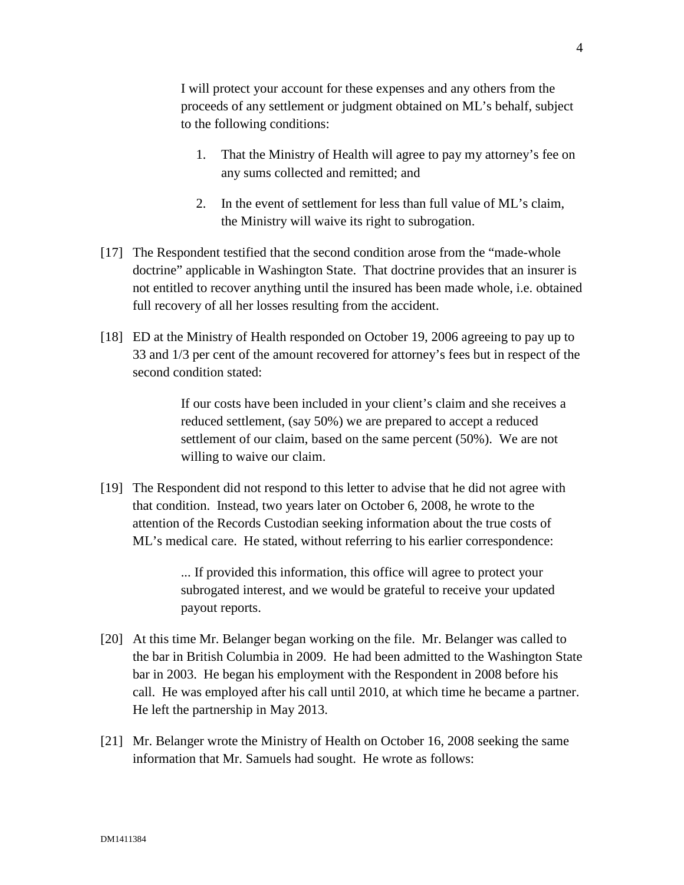I will protect your account for these expenses and any others from the proceeds of any settlement or judgment obtained on ML's behalf, subject to the following conditions:

- 1. That the Ministry of Health will agree to pay my attorney's fee on any sums collected and remitted; and
- 2. In the event of settlement for less than full value of ML's claim, the Ministry will waive its right to subrogation.
- [17] The Respondent testified that the second condition arose from the "made-whole doctrine" applicable in Washington State. That doctrine provides that an insurer is not entitled to recover anything until the insured has been made whole, i.e. obtained full recovery of all her losses resulting from the accident.
- [18] ED at the Ministry of Health responded on October 19, 2006 agreeing to pay up to 33 and 1/3 per cent of the amount recovered for attorney's fees but in respect of the second condition stated:

If our costs have been included in your client's claim and she receives a reduced settlement, (say 50%) we are prepared to accept a reduced settlement of our claim, based on the same percent (50%). We are not willing to waive our claim.

[19] The Respondent did not respond to this letter to advise that he did not agree with that condition. Instead, two years later on October 6, 2008, he wrote to the attention of the Records Custodian seeking information about the true costs of ML's medical care. He stated, without referring to his earlier correspondence:

> ... If provided this information, this office will agree to protect your subrogated interest, and we would be grateful to receive your updated payout reports.

- [20] At this time Mr. Belanger began working on the file. Mr. Belanger was called to the bar in British Columbia in 2009. He had been admitted to the Washington State bar in 2003. He began his employment with the Respondent in 2008 before his call. He was employed after his call until 2010, at which time he became a partner. He left the partnership in May 2013.
- [21] Mr. Belanger wrote the Ministry of Health on October 16, 2008 seeking the same information that Mr. Samuels had sought. He wrote as follows: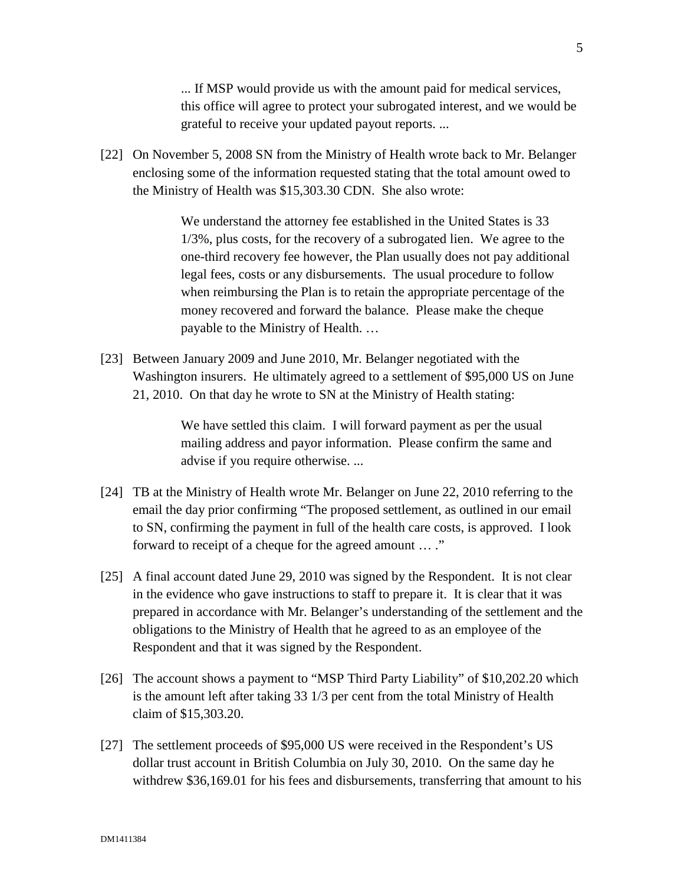... If MSP would provide us with the amount paid for medical services, this office will agree to protect your subrogated interest, and we would be grateful to receive your updated payout reports. ...

[22] On November 5, 2008 SN from the Ministry of Health wrote back to Mr. Belanger enclosing some of the information requested stating that the total amount owed to the Ministry of Health was \$15,303.30 CDN. She also wrote:

> We understand the attorney fee established in the United States is 33 1/3%, plus costs, for the recovery of a subrogated lien. We agree to the one-third recovery fee however, the Plan usually does not pay additional legal fees, costs or any disbursements. The usual procedure to follow when reimbursing the Plan is to retain the appropriate percentage of the money recovered and forward the balance. Please make the cheque payable to the Ministry of Health. …

[23] Between January 2009 and June 2010, Mr. Belanger negotiated with the Washington insurers. He ultimately agreed to a settlement of \$95,000 US on June 21, 2010. On that day he wrote to SN at the Ministry of Health stating:

> We have settled this claim. I will forward payment as per the usual mailing address and payor information. Please confirm the same and advise if you require otherwise. ...

- [24] TB at the Ministry of Health wrote Mr. Belanger on June 22, 2010 referring to the email the day prior confirming "The proposed settlement, as outlined in our email to SN, confirming the payment in full of the health care costs, is approved. I look forward to receipt of a cheque for the agreed amount … ."
- [25] A final account dated June 29, 2010 was signed by the Respondent. It is not clear in the evidence who gave instructions to staff to prepare it. It is clear that it was prepared in accordance with Mr. Belanger's understanding of the settlement and the obligations to the Ministry of Health that he agreed to as an employee of the Respondent and that it was signed by the Respondent.
- [26] The account shows a payment to "MSP Third Party Liability" of \$10,202.20 which is the amount left after taking 33 1/3 per cent from the total Ministry of Health claim of \$15,303.20.
- [27] The settlement proceeds of \$95,000 US were received in the Respondent's US dollar trust account in British Columbia on July 30, 2010. On the same day he withdrew \$36,169.01 for his fees and disbursements, transferring that amount to his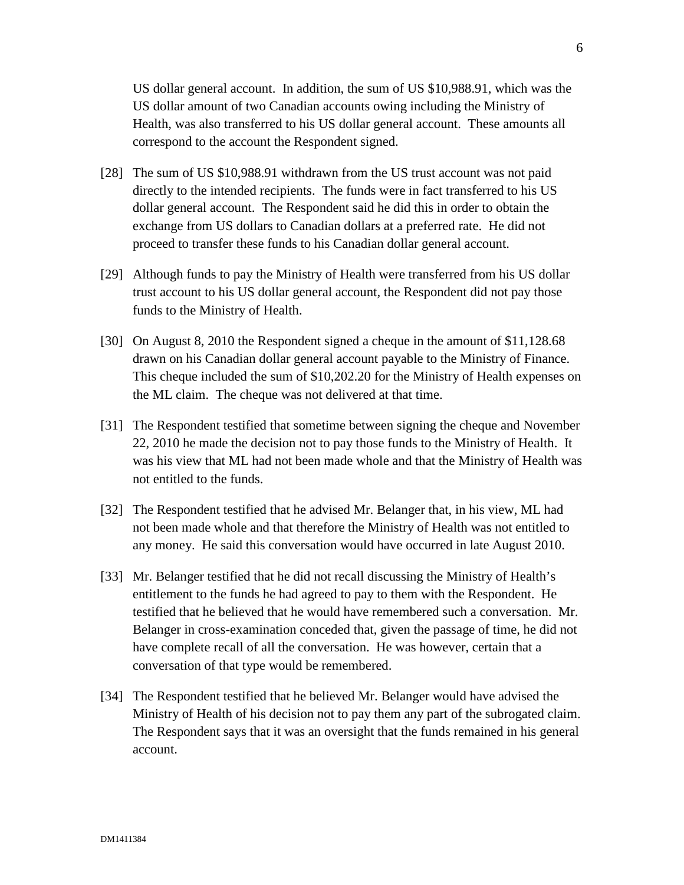US dollar general account. In addition, the sum of US \$10,988.91, which was the US dollar amount of two Canadian accounts owing including the Ministry of Health, was also transferred to his US dollar general account. These amounts all correspond to the account the Respondent signed.

- [28] The sum of US \$10,988.91 withdrawn from the US trust account was not paid directly to the intended recipients. The funds were in fact transferred to his US dollar general account. The Respondent said he did this in order to obtain the exchange from US dollars to Canadian dollars at a preferred rate. He did not proceed to transfer these funds to his Canadian dollar general account.
- [29] Although funds to pay the Ministry of Health were transferred from his US dollar trust account to his US dollar general account, the Respondent did not pay those funds to the Ministry of Health.
- [30] On August 8, 2010 the Respondent signed a cheque in the amount of \$11,128.68 drawn on his Canadian dollar general account payable to the Ministry of Finance. This cheque included the sum of \$10,202.20 for the Ministry of Health expenses on the ML claim. The cheque was not delivered at that time.
- [31] The Respondent testified that sometime between signing the cheque and November 22, 2010 he made the decision not to pay those funds to the Ministry of Health. It was his view that ML had not been made whole and that the Ministry of Health was not entitled to the funds.
- [32] The Respondent testified that he advised Mr. Belanger that, in his view, ML had not been made whole and that therefore the Ministry of Health was not entitled to any money. He said this conversation would have occurred in late August 2010.
- [33] Mr. Belanger testified that he did not recall discussing the Ministry of Health's entitlement to the funds he had agreed to pay to them with the Respondent. He testified that he believed that he would have remembered such a conversation. Mr. Belanger in cross-examination conceded that, given the passage of time, he did not have complete recall of all the conversation. He was however, certain that a conversation of that type would be remembered.
- [34] The Respondent testified that he believed Mr. Belanger would have advised the Ministry of Health of his decision not to pay them any part of the subrogated claim. The Respondent says that it was an oversight that the funds remained in his general account.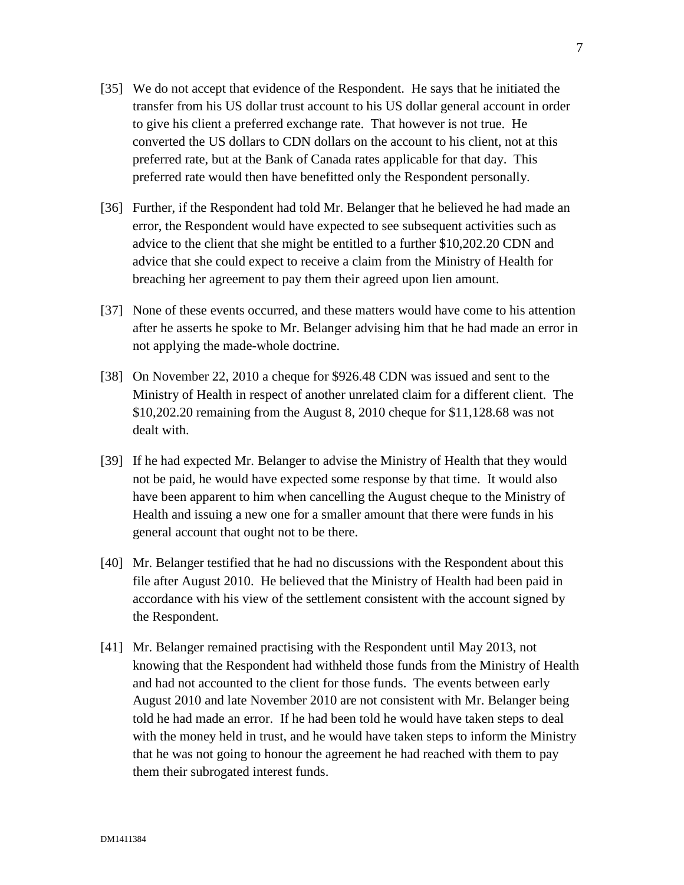- [35] We do not accept that evidence of the Respondent. He says that he initiated the transfer from his US dollar trust account to his US dollar general account in order to give his client a preferred exchange rate. That however is not true. He converted the US dollars to CDN dollars on the account to his client, not at this preferred rate, but at the Bank of Canada rates applicable for that day. This preferred rate would then have benefitted only the Respondent personally.
- [36] Further, if the Respondent had told Mr. Belanger that he believed he had made an error, the Respondent would have expected to see subsequent activities such as advice to the client that she might be entitled to a further \$10,202.20 CDN and advice that she could expect to receive a claim from the Ministry of Health for breaching her agreement to pay them their agreed upon lien amount.
- [37] None of these events occurred, and these matters would have come to his attention after he asserts he spoke to Mr. Belanger advising him that he had made an error in not applying the made-whole doctrine.
- [38] On November 22, 2010 a cheque for \$926.48 CDN was issued and sent to the Ministry of Health in respect of another unrelated claim for a different client. The \$10,202.20 remaining from the August 8, 2010 cheque for \$11,128.68 was not dealt with.
- [39] If he had expected Mr. Belanger to advise the Ministry of Health that they would not be paid, he would have expected some response by that time. It would also have been apparent to him when cancelling the August cheque to the Ministry of Health and issuing a new one for a smaller amount that there were funds in his general account that ought not to be there.
- [40] Mr. Belanger testified that he had no discussions with the Respondent about this file after August 2010. He believed that the Ministry of Health had been paid in accordance with his view of the settlement consistent with the account signed by the Respondent.
- [41] Mr. Belanger remained practising with the Respondent until May 2013, not knowing that the Respondent had withheld those funds from the Ministry of Health and had not accounted to the client for those funds. The events between early August 2010 and late November 2010 are not consistent with Mr. Belanger being told he had made an error. If he had been told he would have taken steps to deal with the money held in trust, and he would have taken steps to inform the Ministry that he was not going to honour the agreement he had reached with them to pay them their subrogated interest funds.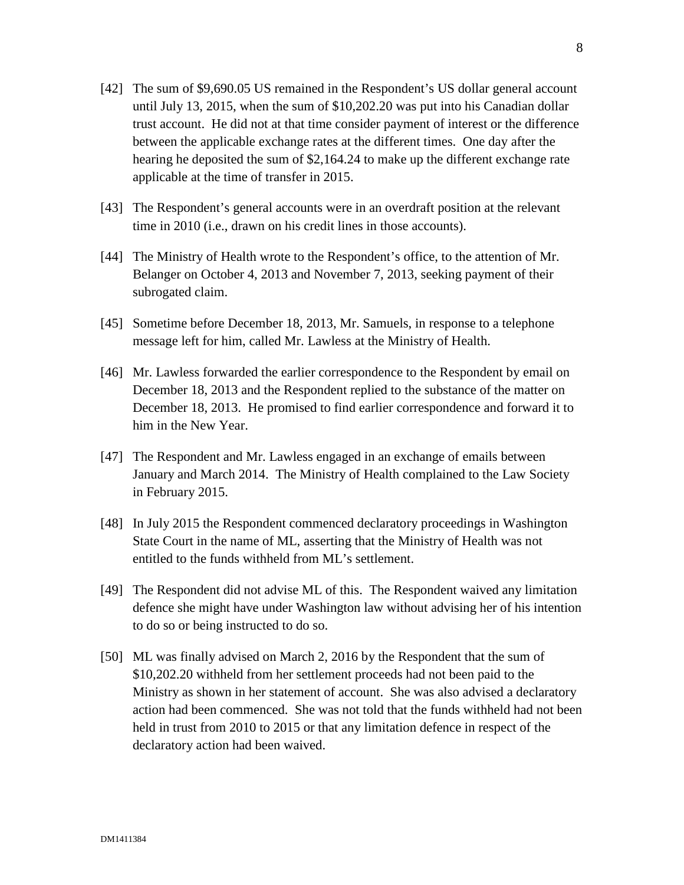- [42] The sum of \$9,690.05 US remained in the Respondent's US dollar general account until July 13, 2015, when the sum of \$10,202.20 was put into his Canadian dollar trust account. He did not at that time consider payment of interest or the difference between the applicable exchange rates at the different times. One day after the hearing he deposited the sum of \$2,164.24 to make up the different exchange rate applicable at the time of transfer in 2015.
- [43] The Respondent's general accounts were in an overdraft position at the relevant time in 2010 (i.e., drawn on his credit lines in those accounts).
- [44] The Ministry of Health wrote to the Respondent's office, to the attention of Mr. Belanger on October 4, 2013 and November 7, 2013, seeking payment of their subrogated claim.
- [45] Sometime before December 18, 2013, Mr. Samuels, in response to a telephone message left for him, called Mr. Lawless at the Ministry of Health.
- [46] Mr. Lawless forwarded the earlier correspondence to the Respondent by email on December 18, 2013 and the Respondent replied to the substance of the matter on December 18, 2013. He promised to find earlier correspondence and forward it to him in the New Year.
- [47] The Respondent and Mr. Lawless engaged in an exchange of emails between January and March 2014. The Ministry of Health complained to the Law Society in February 2015.
- [48] In July 2015 the Respondent commenced declaratory proceedings in Washington State Court in the name of ML, asserting that the Ministry of Health was not entitled to the funds withheld from ML's settlement.
- [49] The Respondent did not advise ML of this. The Respondent waived any limitation defence she might have under Washington law without advising her of his intention to do so or being instructed to do so.
- [50] ML was finally advised on March 2, 2016 by the Respondent that the sum of \$10,202.20 withheld from her settlement proceeds had not been paid to the Ministry as shown in her statement of account. She was also advised a declaratory action had been commenced. She was not told that the funds withheld had not been held in trust from 2010 to 2015 or that any limitation defence in respect of the declaratory action had been waived.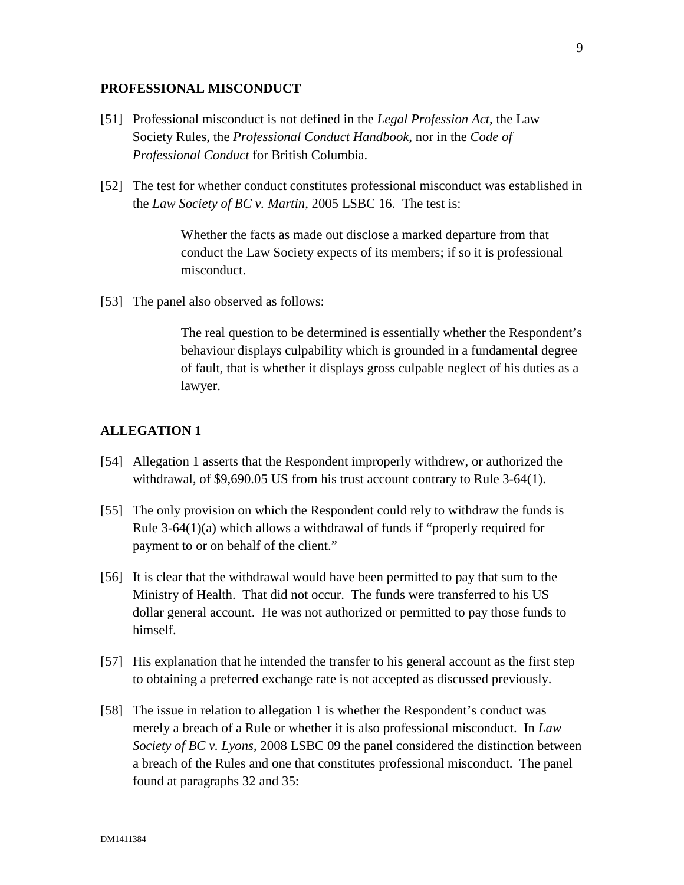#### **PROFESSIONAL MISCONDUCT**

- [51] Professional misconduct is not defined in the *Legal Profession Act*, the Law Society Rules, the *Professional Conduct Handbook*, nor in the *Code of Professional Conduct* for British Columbia.
- [52] The test for whether conduct constitutes professional misconduct was established in the *Law Society of BC v. Martin*, 2005 LSBC 16. The test is:

Whether the facts as made out disclose a marked departure from that conduct the Law Society expects of its members; if so it is professional misconduct.

[53] The panel also observed as follows:

The real question to be determined is essentially whether the Respondent's behaviour displays culpability which is grounded in a fundamental degree of fault, that is whether it displays gross culpable neglect of his duties as a lawyer.

### **ALLEGATION 1**

- [54] Allegation 1 asserts that the Respondent improperly withdrew, or authorized the withdrawal, of \$9,690.05 US from his trust account contrary to Rule 3-64(1).
- [55] The only provision on which the Respondent could rely to withdraw the funds is Rule 3-64(1)(a) which allows a withdrawal of funds if "properly required for payment to or on behalf of the client."
- [56] It is clear that the withdrawal would have been permitted to pay that sum to the Ministry of Health. That did not occur. The funds were transferred to his US dollar general account. He was not authorized or permitted to pay those funds to himself.
- [57] His explanation that he intended the transfer to his general account as the first step to obtaining a preferred exchange rate is not accepted as discussed previously.
- [58] The issue in relation to allegation 1 is whether the Respondent's conduct was merely a breach of a Rule or whether it is also professional misconduct. In *Law Society of BC v. Lyons*, 2008 LSBC 09 the panel considered the distinction between a breach of the Rules and one that constitutes professional misconduct. The panel found at paragraphs 32 and 35: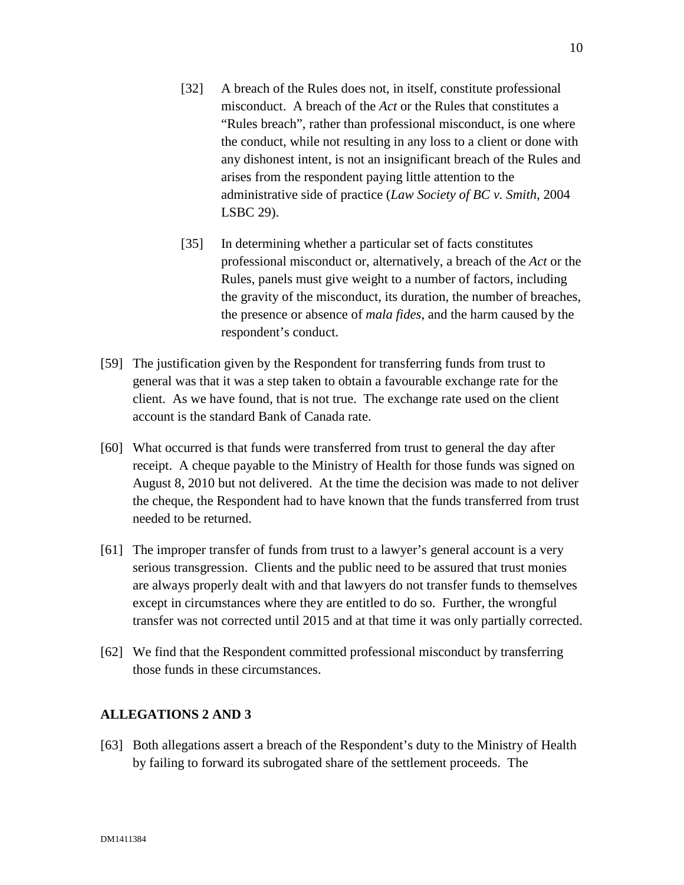- [32] A breach of the Rules does not, in itself, constitute professional misconduct. A breach of the *Act* or the Rules that constitutes a "Rules breach", rather than professional misconduct, is one where the conduct, while not resulting in any loss to a client or done with any dishonest intent, is not an insignificant breach of the Rules and arises from the respondent paying little attention to the administrative side of practice (*Law Society of BC v. Smith*, 2004 LSBC 29).
- [35] In determining whether a particular set of facts constitutes professional misconduct or, alternatively, a breach of the *Act* or the Rules, panels must give weight to a number of factors, including the gravity of the misconduct, its duration, the number of breaches, the presence or absence of *mala fides*, and the harm caused by the respondent's conduct.
- [59] The justification given by the Respondent for transferring funds from trust to general was that it was a step taken to obtain a favourable exchange rate for the client. As we have found, that is not true. The exchange rate used on the client account is the standard Bank of Canada rate.
- [60] What occurred is that funds were transferred from trust to general the day after receipt. A cheque payable to the Ministry of Health for those funds was signed on August 8, 2010 but not delivered. At the time the decision was made to not deliver the cheque, the Respondent had to have known that the funds transferred from trust needed to be returned.
- [61] The improper transfer of funds from trust to a lawyer's general account is a very serious transgression. Clients and the public need to be assured that trust monies are always properly dealt with and that lawyers do not transfer funds to themselves except in circumstances where they are entitled to do so. Further, the wrongful transfer was not corrected until 2015 and at that time it was only partially corrected.
- [62] We find that the Respondent committed professional misconduct by transferring those funds in these circumstances.

#### **ALLEGATIONS 2 AND 3**

[63] Both allegations assert a breach of the Respondent's duty to the Ministry of Health by failing to forward its subrogated share of the settlement proceeds. The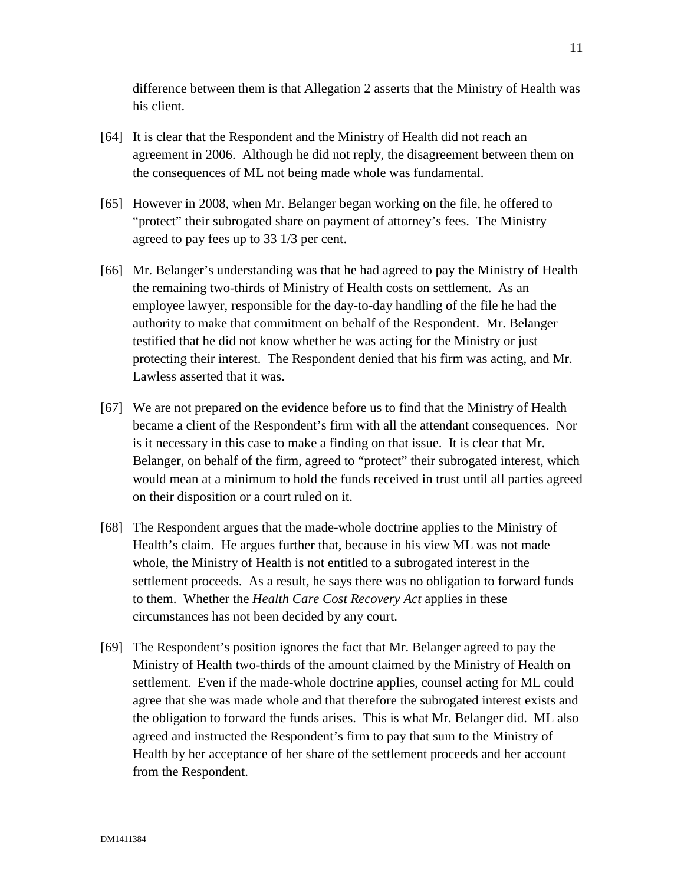difference between them is that Allegation 2 asserts that the Ministry of Health was his client.

- [64] It is clear that the Respondent and the Ministry of Health did not reach an agreement in 2006. Although he did not reply, the disagreement between them on the consequences of ML not being made whole was fundamental.
- [65] However in 2008, when Mr. Belanger began working on the file, he offered to "protect" their subrogated share on payment of attorney's fees. The Ministry agreed to pay fees up to 33 1/3 per cent.
- [66] Mr. Belanger's understanding was that he had agreed to pay the Ministry of Health the remaining two-thirds of Ministry of Health costs on settlement. As an employee lawyer, responsible for the day-to-day handling of the file he had the authority to make that commitment on behalf of the Respondent. Mr. Belanger testified that he did not know whether he was acting for the Ministry or just protecting their interest. The Respondent denied that his firm was acting, and Mr. Lawless asserted that it was.
- [67] We are not prepared on the evidence before us to find that the Ministry of Health became a client of the Respondent's firm with all the attendant consequences. Nor is it necessary in this case to make a finding on that issue. It is clear that Mr. Belanger, on behalf of the firm, agreed to "protect" their subrogated interest, which would mean at a minimum to hold the funds received in trust until all parties agreed on their disposition or a court ruled on it.
- [68] The Respondent argues that the made-whole doctrine applies to the Ministry of Health's claim. He argues further that, because in his view ML was not made whole, the Ministry of Health is not entitled to a subrogated interest in the settlement proceeds. As a result, he says there was no obligation to forward funds to them. Whether the *Health Care Cost Recovery Act* applies in these circumstances has not been decided by any court.
- [69] The Respondent's position ignores the fact that Mr. Belanger agreed to pay the Ministry of Health two-thirds of the amount claimed by the Ministry of Health on settlement. Even if the made-whole doctrine applies, counsel acting for ML could agree that she was made whole and that therefore the subrogated interest exists and the obligation to forward the funds arises. This is what Mr. Belanger did. ML also agreed and instructed the Respondent's firm to pay that sum to the Ministry of Health by her acceptance of her share of the settlement proceeds and her account from the Respondent.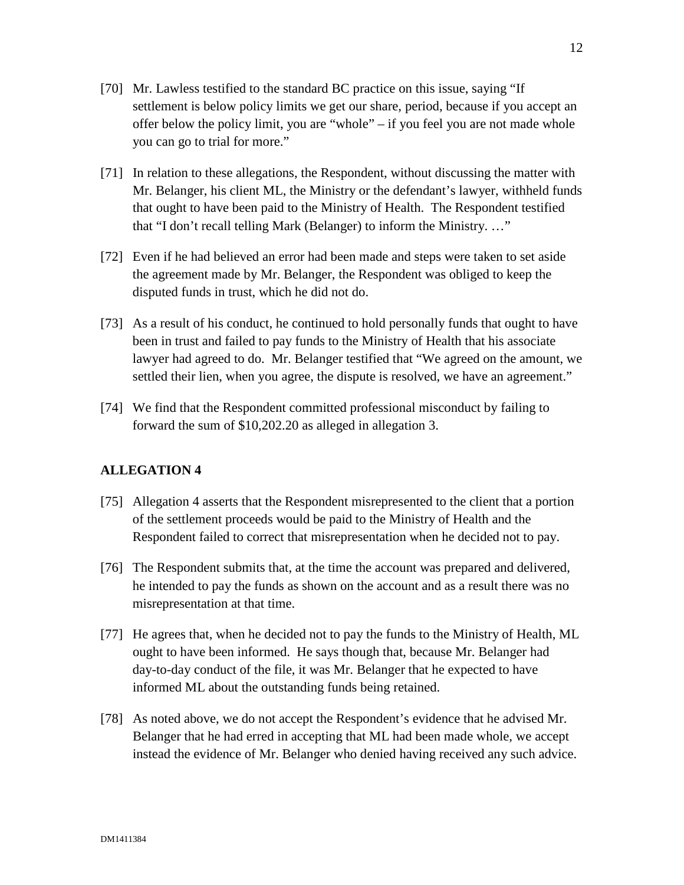- [70] Mr. Lawless testified to the standard BC practice on this issue, saying "If settlement is below policy limits we get our share, period, because if you accept an offer below the policy limit, you are "whole" – if you feel you are not made whole you can go to trial for more."
- [71] In relation to these allegations, the Respondent, without discussing the matter with Mr. Belanger, his client ML, the Ministry or the defendant's lawyer, withheld funds that ought to have been paid to the Ministry of Health. The Respondent testified that "I don't recall telling Mark (Belanger) to inform the Ministry. …"
- [72] Even if he had believed an error had been made and steps were taken to set aside the agreement made by Mr. Belanger, the Respondent was obliged to keep the disputed funds in trust, which he did not do.
- [73] As a result of his conduct, he continued to hold personally funds that ought to have been in trust and failed to pay funds to the Ministry of Health that his associate lawyer had agreed to do. Mr. Belanger testified that "We agreed on the amount, we settled their lien, when you agree, the dispute is resolved, we have an agreement."
- [74] We find that the Respondent committed professional misconduct by failing to forward the sum of \$10,202.20 as alleged in allegation 3.

# **ALLEGATION 4**

- [75] Allegation 4 asserts that the Respondent misrepresented to the client that a portion of the settlement proceeds would be paid to the Ministry of Health and the Respondent failed to correct that misrepresentation when he decided not to pay.
- [76] The Respondent submits that, at the time the account was prepared and delivered, he intended to pay the funds as shown on the account and as a result there was no misrepresentation at that time.
- [77] He agrees that, when he decided not to pay the funds to the Ministry of Health, ML ought to have been informed. He says though that, because Mr. Belanger had day-to-day conduct of the file, it was Mr. Belanger that he expected to have informed ML about the outstanding funds being retained.
- [78] As noted above, we do not accept the Respondent's evidence that he advised Mr. Belanger that he had erred in accepting that ML had been made whole, we accept instead the evidence of Mr. Belanger who denied having received any such advice.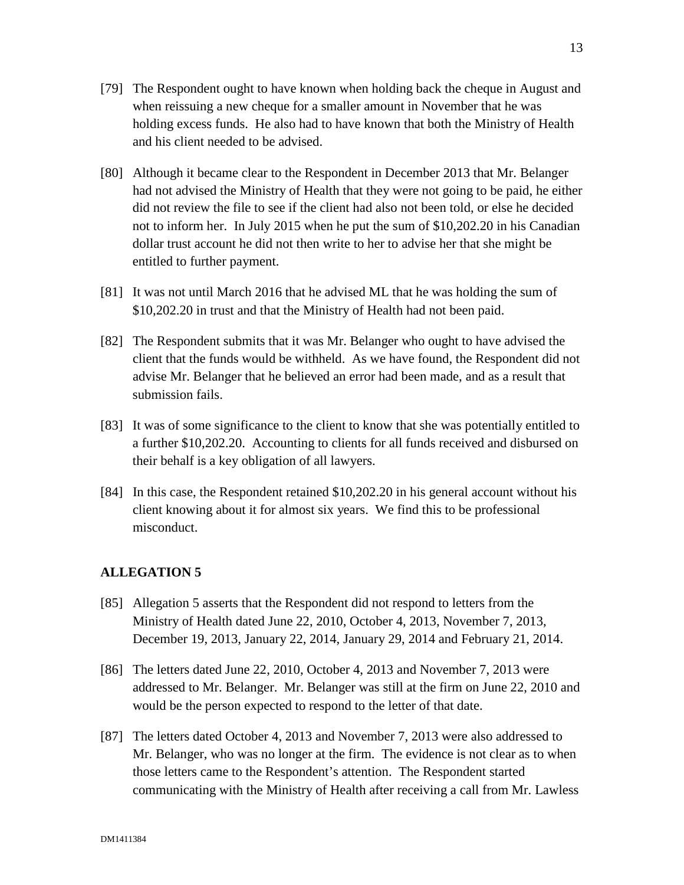- [79] The Respondent ought to have known when holding back the cheque in August and when reissuing a new cheque for a smaller amount in November that he was holding excess funds. He also had to have known that both the Ministry of Health and his client needed to be advised.
- [80] Although it became clear to the Respondent in December 2013 that Mr. Belanger had not advised the Ministry of Health that they were not going to be paid, he either did not review the file to see if the client had also not been told, or else he decided not to inform her. In July 2015 when he put the sum of \$10,202.20 in his Canadian dollar trust account he did not then write to her to advise her that she might be entitled to further payment.
- [81] It was not until March 2016 that he advised ML that he was holding the sum of \$10,202.20 in trust and that the Ministry of Health had not been paid.
- [82] The Respondent submits that it was Mr. Belanger who ought to have advised the client that the funds would be withheld. As we have found, the Respondent did not advise Mr. Belanger that he believed an error had been made, and as a result that submission fails.
- [83] It was of some significance to the client to know that she was potentially entitled to a further \$10,202.20. Accounting to clients for all funds received and disbursed on their behalf is a key obligation of all lawyers.
- [84] In this case, the Respondent retained \$10,202.20 in his general account without his client knowing about it for almost six years. We find this to be professional misconduct.

# **ALLEGATION 5**

- [85] Allegation 5 asserts that the Respondent did not respond to letters from the Ministry of Health dated June 22, 2010, October 4, 2013, November 7, 2013, December 19, 2013, January 22, 2014, January 29, 2014 and February 21, 2014.
- [86] The letters dated June 22, 2010, October 4, 2013 and November 7, 2013 were addressed to Mr. Belanger. Mr. Belanger was still at the firm on June 22, 2010 and would be the person expected to respond to the letter of that date.
- [87] The letters dated October 4, 2013 and November 7, 2013 were also addressed to Mr. Belanger, who was no longer at the firm. The evidence is not clear as to when those letters came to the Respondent's attention. The Respondent started communicating with the Ministry of Health after receiving a call from Mr. Lawless